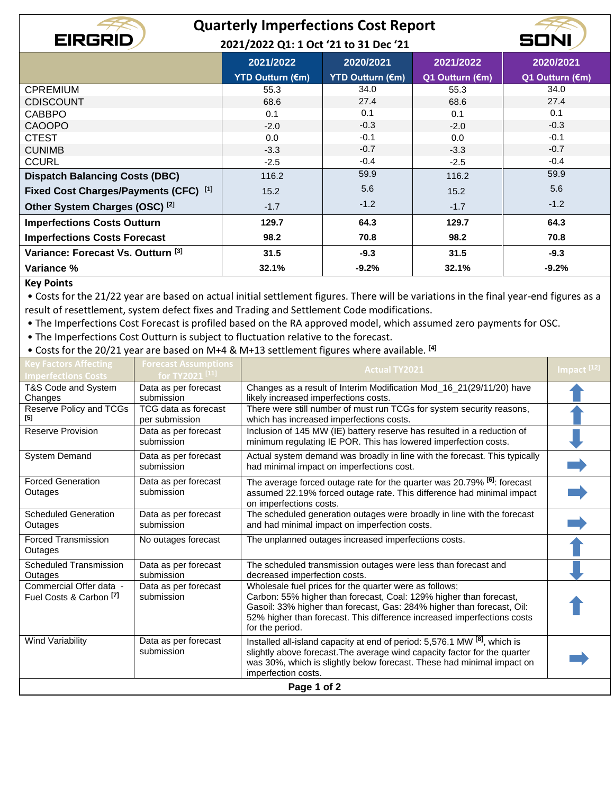## **Quarterly Imperfections Cost Report**

50

**2021/2022 Q1: 1 Oct '21 to 31 Dec '21**

|                                               | 2021/2022               | 2020/2021               | 2021/2022       | 2020/2021       |
|-----------------------------------------------|-------------------------|-------------------------|-----------------|-----------------|
|                                               | <b>YTD Outturn (€m)</b> | <b>YTD Outturn (€m)</b> | Q1 Outturn (€m) | Q1 Outturn (€m) |
| <b>CPREMIUM</b>                               | 55.3                    | 34.0                    | 55.3            | 34.0            |
| <b>CDISCOUNT</b>                              | 68.6                    | 27.4                    | 68.6            | 27.4            |
| <b>CABBPO</b>                                 | 0.1                     | 0.1                     | 0.1             | 0.1             |
| <b>CAOOPO</b>                                 | $-2.0$                  | $-0.3$                  | $-2.0$          | $-0.3$          |
| <b>CTEST</b>                                  | 0.0                     | $-0.1$                  | 0.0             | $-0.1$          |
| <b>CUNIMB</b>                                 | $-3.3$                  | $-0.7$                  | $-3.3$          | $-0.7$          |
| <b>CCURL</b>                                  | $-2.5$                  | $-0.4$                  | $-2.5$          | $-0.4$          |
| <b>Dispatch Balancing Costs (DBC)</b>         | 116.2                   | 59.9                    | 116.2           | 59.9            |
| Fixed Cost Charges/Payments (CFC) [1]         | 15.2                    | 5.6                     | 15.2            | 5.6             |
| Other System Charges (OSC) <sup>[2]</sup>     | $-1.7$                  | $-1.2$                  | $-1.7$          | $-1.2$          |
| <b>Imperfections Costs Outturn</b>            | 129.7                   | 64.3                    | 129.7           | 64.3            |
| <b>Imperfections Costs Forecast</b>           | 98.2                    | 70.8                    | 98.2            | 70.8            |
| Variance: Forecast Vs. Outturn <sup>[3]</sup> | 31.5                    | $-9.3$                  | 31.5            | $-9.3$          |
| Variance %                                    | 32.1%                   | $-9.2%$                 | 32.1%           | $-9.2%$         |

## **Key Points**

**EIRGRID** 

• Costs for the 21/22 year are based on actual initial settlement figures. There will be variations in the final year-end figures as a result of resettlement, system defect fixes and Trading and Settlement Code modifications.

• The Imperfections Cost Forecast is profiled based on the RA approved model, which assumed zero payments for OSC.

• The Imperfections Cost Outturn is subject to fluctuation relative to the forecast.

• Costs for the 20/21 year are based on M+4 & M+13 settlement figures where available. **[4]**

| <b>Key Factors Affecting</b><br><b>Imperfections Costs</b> | <b>Forecast Assumptions</b><br>for TY2021 <sup>[11]</sup> | <b>Actual TY2021</b>                                                                                                                                                                                                                                                                                 | Impact <sup>[12]</sup> |  |  |
|------------------------------------------------------------|-----------------------------------------------------------|------------------------------------------------------------------------------------------------------------------------------------------------------------------------------------------------------------------------------------------------------------------------------------------------------|------------------------|--|--|
| T&S Code and System<br>Changes                             | Data as per forecast<br>submission                        | Changes as a result of Interim Modification Mod_16_21(29/11/20) have<br>likely increased imperfections costs.                                                                                                                                                                                        |                        |  |  |
| Reserve Policy and TCGs<br>[5]                             | TCG data as forecast<br>per submission                    | There were still number of must run TCGs for system security reasons,<br>which has increased imperfections costs.                                                                                                                                                                                    |                        |  |  |
| <b>Reserve Provision</b>                                   | Data as per forecast<br>submission                        | Inclusion of 145 MW (IE) battery reserve has resulted in a reduction of<br>minimum regulating IE POR. This has lowered imperfection costs.                                                                                                                                                           |                        |  |  |
| System Demand                                              | Data as per forecast<br>submission                        | Actual system demand was broadly in line with the forecast. This typically<br>had minimal impact on imperfections cost.                                                                                                                                                                              |                        |  |  |
| <b>Forced Generation</b><br>Outages                        | Data as per forecast<br>submission                        | The average forced outage rate for the quarter was 20.79% <sup>[6]</sup> : forecast<br>assumed 22.19% forced outage rate. This difference had minimal impact<br>on imperfections costs.                                                                                                              |                        |  |  |
| <b>Scheduled Generation</b><br>Outages                     | Data as per forecast<br>submission                        | The scheduled generation outages were broadly in line with the forecast<br>and had minimal impact on imperfection costs.                                                                                                                                                                             |                        |  |  |
| <b>Forced Transmission</b><br>Outages                      | No outages forecast                                       | The unplanned outages increased imperfections costs.                                                                                                                                                                                                                                                 |                        |  |  |
| <b>Scheduled Transmission</b><br>Outages                   | Data as per forecast<br>submission                        | The scheduled transmission outages were less than forecast and<br>decreased imperfection costs.                                                                                                                                                                                                      |                        |  |  |
| Commercial Offer data -<br>Fuel Costs & Carbon [7]         | Data as per forecast<br>submission                        | Wholesale fuel prices for the quarter were as follows;<br>Carbon: 55% higher than forecast, Coal: 129% higher than forecast,<br>Gasoil: 33% higher than forecast, Gas: 284% higher than forecast, Oil:<br>52% higher than forecast. This difference increased imperfections costs<br>for the period. |                        |  |  |
| <b>Wind Variability</b>                                    | Data as per forecast<br>submission                        | Installed all-island capacity at end of period: 5,576.1 MW [8], which is<br>slightly above forecast. The average wind capacity factor for the quarter<br>was 30%, which is slightly below forecast. These had minimal impact on<br>imperfection costs.                                               |                        |  |  |
| Page 1 of 2                                                |                                                           |                                                                                                                                                                                                                                                                                                      |                        |  |  |